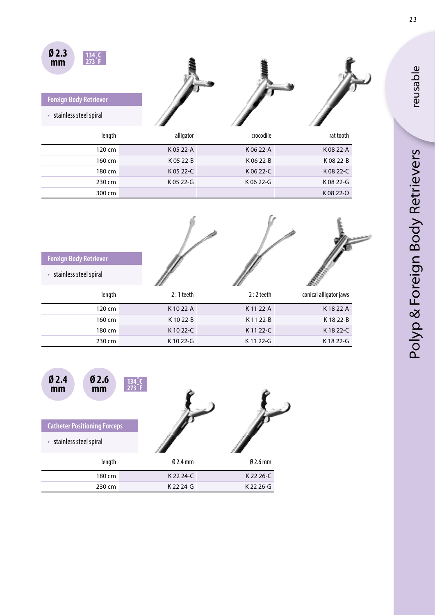| Ø2.3<br>mm                          |           |           |           |  |
|-------------------------------------|-----------|-----------|-----------|--|
| <b>Foreign Body Retriever</b>       |           |           |           |  |
| stainless steel spiral<br>$\bullet$ |           |           |           |  |
| length                              | alligator | crocodile | rat tooth |  |
| 120 cm                              | K 05 22-A | K 06 22-A | K08 22-A  |  |
| 160 cm                              | K 05 22-B | K 06 22-B | K08 22-B  |  |
| 180 cm                              | K 05 22-C | K06 22-C  | K08 22-C  |  |
| 230 cm                              | K 05 22-G | K 06 22-G | K08 22-G  |  |
| 300 cm                              |           |           | K08 22-O  |  |

| <b>Foreign Body Retriever</b>       |             |             |                        |
|-------------------------------------|-------------|-------------|------------------------|
| stainless steel spiral<br>$\bullet$ |             |             |                        |
| length                              | $2:1$ teeth | $2:2$ teeth | conical alligator jaws |
| 120 cm                              | K 10 22-A   | K 11 22-A   | K1822-A                |
| 160 cm                              | K1022-B     | K1122-B     | K1822-B                |
| 180 cm                              | K 10 22-C   | K1122-C     | K1822-C                |
| 230 cm                              | K1022-G     | K 11 22-G   | K1822-G                |



Polyp & Foreign Body Retrievers Polyp & Foreign Body Retrievers

reusable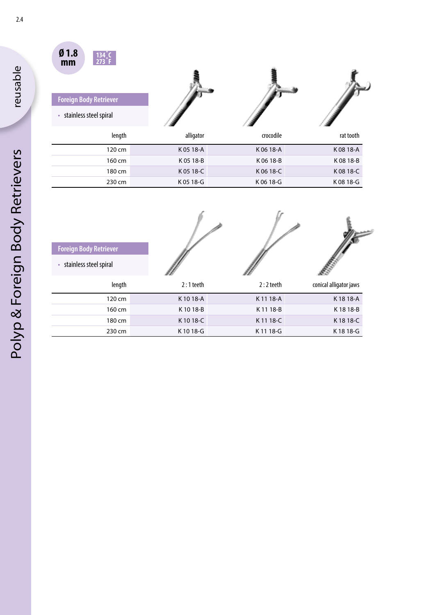

• stainless steel spiral

 $\overline{a}$ 

**Foreign Body Retriever**



| length | alligator | crocodile | rat tooth |
|--------|-----------|-----------|-----------|
| 120 cm | K 05 18-A | K 06 18-A | K08 18-A  |
| 160 cm | K 05 18-B | K 06 18-B | K 08 18-B |
| 180 cm | K 05 18-C | K 06 18-C | K 08 18-C |
| 230 cm | K 05 18-G | K 06 18-G | K 08 18-G |

| <b>Foreign Body Retriever</b>       |             |             |                        |
|-------------------------------------|-------------|-------------|------------------------|
| stainless steel spiral<br>$\bullet$ |             |             |                        |
| length                              | $2:1$ teeth | $2:2$ teeth | conical alligator jaws |
| 120 cm                              | K1018-A     | K1118-A     | K1818-A                |
| 160 cm                              | K1018-B     | K 11 18-B   | K1818-B                |
| 180 cm                              | K1018-C     | K1118-C     | K1818-C                |
| 230 cm                              | K1018-G     | K1118-G     | K1818-G                |

2.4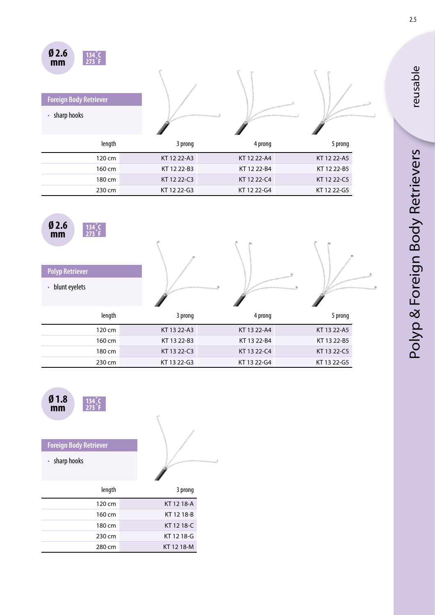| Ø2.6<br>273<br>mm<br><b>Foreign Body Retriever</b> |             |             |             |  |
|----------------------------------------------------|-------------|-------------|-------------|--|
| sharp hooks<br>$\bullet$                           |             |             |             |  |
|                                                    |             |             |             |  |
| length                                             | 3 prong     | 4 prong     | 5 prong     |  |
| 120 cm                                             | KT 12 22-A3 | KT 12 22-A4 | KT 12 22-A5 |  |
| 160 cm                                             | KT 12 22-B3 | KT 12 22-B4 | KT 12 22-B5 |  |
| 180 cm                                             | KT 12 22-C3 | KT 12 22-C4 | KT 12 22-C5 |  |
| 230 cm                                             | KT 12 22-G3 | KT 12 22-G4 | KT 12 22-G5 |  |





## **Foreign Body Retriever**

• sharp hooks



| length | 3 prong    |
|--------|------------|
| 120 cm | KT 12 18-A |
| 160 cm | KT 12 18-B |
| 180 cm | KT 12 18-C |
| 230 cm | KT 12 18-G |
| 280 cm | KT 12 18-M |

reusable